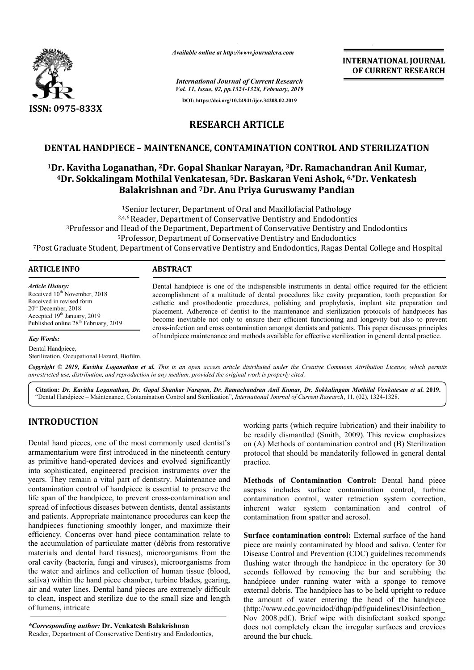

*Available online at http://www.journalcra.com*

**INTERNATIONAL JOURNAL OF CURRENT RESEARCH**

*International Journal of Current Research Vol. 11, Issue, 02, pp.1324-1328, February, 2019* **DOI: https://doi.org/10.24941/ijcr.34208.02.2019**

## **RESEARCH ARTICLE**

#### **DENTAL HANDPIECE – MAINTENANCE, CONTAMINATION CONTROL AND STERILIZATION**

# **1Dr. Kavitha Loganathan, 2Dr. Gopal Shankar Narayan, Dr. 3Dr. Ramachandran Anil Kumar, 4Dr. Sokkalingam Mothilal Venkatesan, Dr. 5Dr. Baskaran Veni Ashok, Balakrishnan and 7Dr. Anu Priya Guruswamy Pandian Dr.** TAMINATION CONTROL AND STERILIZATION<br>ar Narayan, <sup>3</sup>Dr. Ramachandran Anil Kumar,<br>Dr. Baskaran Veni Ashok, <sup>6,\*</sup>Dr. Venkatesh

1Senior lecturer, Department of Oral and Maxillofacial Pathology <sup>1</sup>Senior lecturer, Department of Oral and Maxillofacial Pathology<br><sup>2,4,6</sup> Reader, Department of Conservative Dentistry and Endodontics 3Professor and Head of the Department, Department of Conservative Dentistry and Endodontics 5Professor, Department of Conservative Dentistry and Endodontics <sup>1</sup>Senior lecturer, Department of Oral and Maxillofacial Pathology<br><sup>2,4,6</sup> Reader, Department of Conservative Dentistry and Endodontics<br><sup>3</sup>Professor and Head of the Department, Department of Conservative Dentistry and Endo

| <b>ARTICLE INFO</b>                                                                                                                                                                                           | <b>ABSTRACT</b>                                                                                                                                                                                                                                                                                                                                                                                                                                                                                                                                                                                                                 |
|---------------------------------------------------------------------------------------------------------------------------------------------------------------------------------------------------------------|---------------------------------------------------------------------------------------------------------------------------------------------------------------------------------------------------------------------------------------------------------------------------------------------------------------------------------------------------------------------------------------------------------------------------------------------------------------------------------------------------------------------------------------------------------------------------------------------------------------------------------|
| <b>Article History:</b><br>Received 10 <sup>th</sup> November, 2018<br>Received in revised form<br>$20th$ December, 2018<br>Accepted $19th$ January, 2019<br>Published online 28 <sup>th</sup> February, 2019 | Dental handpiece is one of the indispensible instruments in dental office required for the efficient<br>accomplishment of a multitude of dental procedures like cavity preparation, tooth preparation for<br>esthetic and prosthodontic procedures, polishing and prophylaxis, implant site preparation and<br>placement. Adherence of dentist to the maintenance and sterilization protocols of handpieces has<br>become inevitable not only to ensure their efficient functioning and longevity but also to prevent<br>cross-infection and cross contamination amongst dentists and patients. This paper discusses principles |
| <b>Key Words:</b>                                                                                                                                                                                             | of handpiece maintenance and methods available for effective sterilization in general dental practice.                                                                                                                                                                                                                                                                                                                                                                                                                                                                                                                          |

Dental Handpiece. Sterilization, Occupational Hazard, Biofilm.

Copyright © 2019, Kavitha Loganathan et al. This is an open access article distributed under the Creative Commons Attribution License, which permits *unrestricted use, distribution, and reproduction in any medium, provided the original work is properly cited.*

**Citation:** *Dr. Kavitha Loganathan, Dr. Gopal Shankar Narayan, Dr. Ramachandran Anil Kumar, Dr. Sokkalingam Mothilal Venk Narayan, Sokkalingam Venkatesan et al***. 2019.** "Dental Handpiece – Maintenance, Contamination Control and Sterilization Sterilization", *International Journal of Current Research Research*, 11, (02), 1324-1328.

## **INTRODUCTION**

Dental hand pieces, one of the most commonly used dentist's armamentarium were first introduced in the nineteenth century as primitive hand-operated devices and evolved significantly into sophisticated, engineered precision instruments over the years. They remain a vital part of dentistry. Maintenance and contamination control of handpiece is essential to preserve the life span of the handpiece, to prevent cross-contamination and spread of infectious diseases between dentists, dental assistants and patients. Appropriate maintenance procedures can keep the handpieces functioning smoothly longer, and maximize their efficiency. Concerns over hand piece contamination relate to the accumulation of particulate matter (débris from restorative materials and dental hard tissues), microorganisms from the oral cavity (bacteria, fungi and viruses), microorganisms from the water and airlines and collection of human tissue (blood, saliva) within the hand piece chamber, turbine blades, gearing, air and water lines. Dental hand pieces are extremely difficult to clean, inspect and sterilize due to the small size and length of lumens, intricate working parts (which require lubrication) and their inability to<br>be readily dismantled (Smith, 2009). This review emphasizes<br>ord in the nineteenth century<br>protocol that should be mandatorily followed in general dental<br>exis

*\*Corresponding author:* **Dr. Venkatesh Balakrishnan**  Reader, Department of Conservative Dentistry and Endodontics,

working parts (which require lubrication) and their inability to<br>be readily dismantled (Smith, 2009). This review emphasizes on (A) Methods of contamination control and (B) Sterilization on (A) Methods of contamination control and (B) Sterilization protocol that should be mandatorily followed in general dental practice.

Methods of Contamination Control: Dental hand piece asepsis includes surface contamination control, turbine asepsis includes surface contamination control, turbine contamination control, water retraction system correction, inherent water system contamination and control of contamination from spatter and aerosol.

Surface contamination control: External surface of the hand piece are mainly contaminated by blood and saliva. Center for Disease Control and Prevention (CDC) guidelines recommends flushing water through the handpiece in the operatory for 30 seconds followed by removing the bur and scrubbing the handpiece under running water with a sponge to remove external debris. The handpiece has to be held upright to reduce the amount of water entering the head of the handpiece (http://www.cdc.gov/ncidod/dhqp/pdf/guidelines/Disinfection\_ Nov\_2008.pdf.). Brief wipe with disinfectant soaked sponge does not completely clean the irregular surfaces and crevices around the bur chuck. Control and Prevention (CDC) guidelines recommends water through the handpiece in the operatory for 30 followed by removing the bur and scrubbing the under running water with a sponge to remove debris. The handpiece has to mount of water entering the head of the handpiece //www.cdc.gov/ncidod/dhqp/pdf/guidelines/Disinfection\_<br>2008.pdf.). Brief wipe with disinfectant soaked sponge<br>not completely clean the irregular surfaces and crevices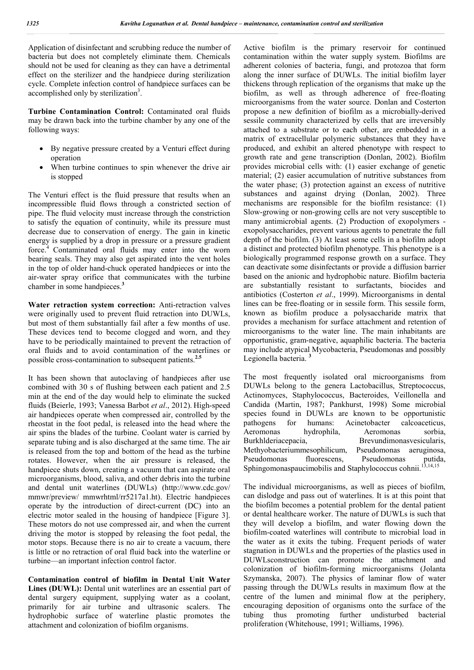Application of disinfectant and scrubbing reduce the number of bacteria but does not completely eliminate them. Chemicals should not be used for cleaning as they can have a detrimental effect on the sterilizer and the handpiece during sterilization cycle. Complete infection control of handpiece surfaces can be accomplished only by sterilization<sup>3</sup>.

**Turbine Contamination Control:** Contaminated oral fluids may be drawn back into the turbine chamber by any one of the following ways:

- By negative pressure created by a Venturi effect during operation
- When turbine continues to spin whenever the drive air is stopped

The Venturi effect is the fluid pressure that results when an incompressible fluid flows through a constricted section of pipe. The fluid velocity must increase through the constriction to satisfy the equation of continuity, while its pressure must decrease due to conservation of energy. The gain in kinetic energy is supplied by a drop in pressure or a pressure gradient force.<sup>4</sup> Contaminated oral fluids may enter into the worn bearing seals. They may also get aspirated into the vent holes in the top of older hand-chuck operated handpieces or into the air-water spray orifice that communicates with the turbine chamber in some handpieces.<sup>3</sup>

**Water retraction system correction:** Anti-retraction valves were originally used to prevent fluid retraction into DUWLs, but most of them substantially fail after a few months of use. These devices tend to become clogged and worn, and they have to be periodically maintained to prevent the retraction of oral fluids and to avoid contamination of the waterlines or possible cross-contamination to subsequent patients.**2.5**

It has been shown that autoclaving of handpieces after use combined with 30 s of flushing between each patient and 2.5 min at the end of the day would help to eliminate the sucked fluids (Beierle, 1993; Vanessa Barbot *et al*., 2012). High-speed air handpieces operate when compressed air, controlled by the rheostat in the foot pedal, is released into the head where the air spins the blades of the turbine. Coolant water is carried by separate tubing and is also discharged at the same time. The air is released from the top and bottom of the head as the turbine rotates. However, when the air pressure is released, the handpiece shuts down, creating a vacuum that can aspirate oral microorganisms, blood, saliva, and other debris into the turbine and dental unit waterlines (DUWLs) (http://www.cdc.gov/ mmwr/preview/ mmwrhtml/rr5217a1.ht). Electric handpieces operate by the introduction of direct-current (DC) into an electric motor sealed in the housing of handpiece [Figure 3]. These motors do not use compressed air, and when the current driving the motor is stopped by releasing the foot pedal, the motor stops. Because there is no air to create a vacuum, there is little or no retraction of oral fluid back into the waterline or turbine—an important infection control factor.

**Contamination control of biofilm in Dental Unit Water**  Lines (DUWL): Dental unit waterlines are an essential part of dental surgery equipment, supplying water as a coolant, primarily for air turbine and ultrasonic scalers. The hydrophobic surface of waterline plastic promotes the attachment and colonization of biofilm organisms.

Active biofilm is the primary reservoir for continued contamination within the water supply system. Biofilms are adherent colonies of bacteria, fungi, and protozoa that form along the inner surface of DUWLs. The initial biofilm layer thickens through replication of the organisms that make up the biofilm, as well as through adherence of free-floating microorganisms from the water source. Donlan and Costerton propose a new definition of biofilm as a microbially-derived sessile community characterized by cells that are irreversibly attached to a substrate or to each other, are embedded in a matrix of extracellular polymeric substances that they have produced, and exhibit an altered phenotype with respect to growth rate and gene transcription (Donlan, 2002). Biofilm provides microbial cells with: (1) easier exchange of genetic material; (2) easier accumulation of nutritive substances from the water phase; (3) protection against an excess of nutritive substances and against drying (Donlan, 2002). Three mechanisms are responsible for the biofilm resistance: (1) Slow-growing or non-growing cells are not very susceptible to many antimicrobial agents. (2) Production of exopolymers exopolysaccharides, prevent various agents to penetrate the full depth of the biofilm. (3) At least some cells in a biofilm adopt a distinct and protected biofilm phenotype. This phenotype is a biologically programmed response growth on a surface. They can deactivate some disinfectants or provide a diffusion barrier based on the anionic and hydrophobic nature. Biofilm bacteria are substantially resistant to surfactants, biocides and antibiotics (Costerton *et al*., 1999). Microorganisms in dental lines can be free-floating or in sessile form. This sessile form, known as biofilm produce a polysaccharide matrix that provides a mechanism for surface attachment and retention of microorganisms to the water line. The main inhabitants are opportunistic, gram-negative, aquaphilic bacteria. The bacteria may include atypical Mycobacteria, Pseudomonas and possibly Legionella bacteria. **<sup>3</sup>**

The most frequently isolated oral microorganisms from DUWLs belong to the genera Lactobacillus, Streptococcus, Actinomyces, Staphylococcus, Bacteroides, Veillonella and Candida (Martin, 1987; Pankhurst, 1998) Some microbial species found in DUWLs are known to be opportunistic pathogens for humans: Acinetobacter calcoaceticus, Aeromonas hydrophila, Aeromonas sorbia, Burkhlderiacepacia, Brevundimonasvesicularis, Methyobacteriummesophilicum, Pseudomonas aeruginosa, Pseudomonas fluorescens, Pseudomonas putida, Sphingomonaspaucimobilis and Staphylococcus cohnii.<sup>13,14,15</sup>

The individual microorganisms, as well as pieces of biofilm, can dislodge and pass out of waterlines. It is at this point that the biofilm becomes a potential problem for the dental patient or dental healthcare worker. The nature of DUWLs is such that they will develop a biofilm, and water flowing down the biofilm-coated waterlines will contribute to microbial load in the water as it exits the tubing. Frequent periods of water stagnation in DUWLs and the properties of the plastics used in DUWLsconstruction can promote the attachment and colonization of biofilm-forming microorganisms (Jolanta Szymanska, 2007). The physics of laminar flow of water passing through the DUWLs results in maximum flow at the centre of the lumen and minimal flow at the periphery, encouraging deposition of organisms onto the surface of the tubing thus promoting further undisturbed bacterial proliferation (Whitehouse, 1991; Williams, 1996).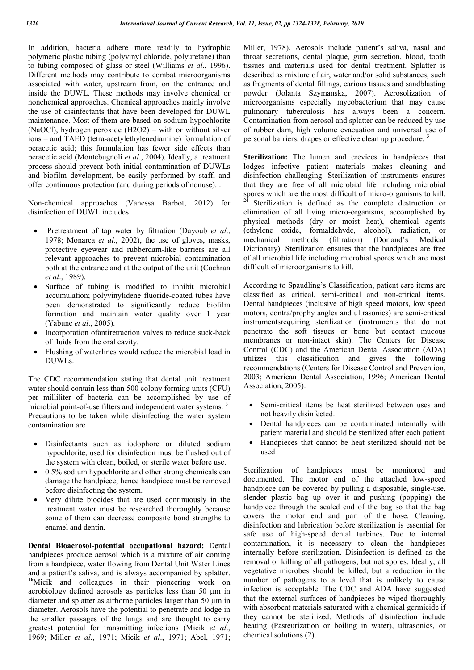In addition, bacteria adhere more readily to hydrophic polymeric plastic tubing (polyvinyl chloride, polyuretane) than to tubing composed of glass or steel (Williams *et al*., 1996). Different methods may contribute to combat microorganisms associated with water, upstream from, on the entrance and inside the DUWL. These methods may involve chemical or nonchemical approaches. Chemical approaches mainly involve the use of disinfectants that have been developed for DUWL maintenance. Most of them are based on sodium hypochlorite (NaOCl), hydrogen peroxide (H2O2) – with or without silver ions – and TAED (tetra-acetylethylenediamine) formulation of peracetic acid; this formulation has fewer side effects than peracetic acid (Montebugnoli *et al*., 2004). Ideally, a treatment process should prevent both initial contamination of DUWLs and biofilm development, be easily performed by staff, and offer continuous protection (and during periods of nonuse). .

Non-chemical approaches (Vanessa Barbot, 2012) for disinfection of DUWL includes

- Pretreatment of tap water by filtration (Dayoub *et al*., 1978; Monarca *et al*., 2002), the use of gloves, masks, protective eyewear and rubberdam-like barriers are all relevant approaches to prevent microbial contamination both at the entrance and at the output of the unit (Cochran *et al*., 1989).
- Surface of tubing is modified to inhibit microbial accumulation; polyvinylidene fluoride-coated tubes have been demonstrated to significantly reduce biofilm formation and maintain water quality over 1 year (Yabune *et al*., 2005).
- Incorporation ofantiretraction valves to reduce suck-back of fluids from the oral cavity.
- Flushing of waterlines would reduce the microbial load in DUWLs.

The CDC recommendation stating that dental unit treatment water should contain less than 500 colony forming units (CFU) per milliliter of bacteria can be accomplished by use of microbial point-of-use filters and independent water systems.<sup>3</sup> Precautions to be taken while disinfecting the water system contamination are

- Disinfectants such as iodophore or diluted sodium hypochlorite, used for disinfection must be flushed out of the system with clean, boiled, or sterile water before use.
- 0.5% sodium hypochlorite and other strong chemicals can damage the handpiece; hence handpiece must be removed before disinfecting the system.
- Very dilute biocides that are used continuously in the treatment water must be researched thoroughly because some of them can decrease composite bond strengths to enamel and dentin.

**Dental Bioaerosol-potential occupational hazard:** Dental handpieces produce aerosol which is a mixture of air coming from a handpiece, water flowing from Dental Unit Water Lines and a patient's saliva, and is always accompanied by splatter. **<sup>16</sup>**Micik and colleagues in their pioneering work on aerobiology defined aerosols as particles less than 50 µm in diameter and splatter as airborne particles larger than 50 µm in diameter. Aerosols have the potential to penetrate and lodge in the smaller passages of the lungs and are thought to carry greatest potential for transmitting infections (Micik *et al*., 1969; Miller *et al*., 1971; Micik *et al*., 1971; Abel, 1971;

Miller, 1978). Aerosols include patient's saliva, nasal and throat secretions, dental plaque, gum secretion, blood, tooth tissues and materials used for dental treatment. Splatter is described as mixture of air, water and/or solid substances, such as fragments of dental fillings, carious tissues and sandblasting powder (Jolanta Szymanska, 2007). Aerosolization of microorganisms especially mycobacterium that may cause pulmonary tuberculosis has always been a concern. Contamination from aerosol and splatter can be reduced by use of rubber dam, high volume evacuation and universal use of personal barriers, drapes or effective clean up procedure. **<sup>3</sup>**

Sterilization: The lumen and crevices in handpieces that lodges infective patient materials makes cleaning and disinfection challenging. Sterilization of instruments ensures that they are free of all microbial life including microbial spores which are the most difficult of micro-organisms to kill.<br><sup>24</sup> Sterilization is defined as the complete destruction or elimination of all living micro-organisms, accomplished by physical methods (dry or moist heat), chemical agents (ethylene oxide, formaldehyde, alcohol), radiation, or mechanical methods (filtration) (Dorland's Medical Dictionary). Sterilization ensures that the handpieces are free of all microbial life including microbial spores which are most difficult of microorganisms to kill.

According to Spaudling's Classification, patient care items are classified as critical, semi-critical and non-critical items. Dental handpieces (inclusive of high speed motors, low speed motors, contra/prophy angles and ultrasonics) are semi-critical instrumentsrequiring sterilization (instruments that do not penetrate the soft tissues or bone but contact mucous membranes or non-intact skin). The Centers for Disease Control (CDC) and the American Dental Association (ADA) utilizes this classification and gives the following recommendations (Centers for Disease Control and Prevention, 2003; American Dental Association, 1996; American Dental Association, 2005):

- Semi-critical items be heat sterilized between uses and not heavily disinfected.
- Dental handpieces can be contaminated internally with patient material and should be sterilized after each patient
- Handpieces that cannot be heat sterilized should not be used

Sterilization of handpieces must be monitored and documented. The motor end of the attached low-speed handpiece can be covered by pulling a disposable, single-use, slender plastic bag up over it and pushing (popping) the handpiece through the sealed end of the bag so that the bag covers the motor end and part of the hose. Cleaning, disinfection and lubrication before sterilization is essential for safe use of high-speed dental turbines. Due to internal contamination, it is necessary to clean the handpieces internally before sterilization. Disinfection is defined as the removal or killing of all pathogens, but not spores. Ideally, all vegetative microbes should be killed, but a reduction in the number of pathogens to a level that is unlikely to cause infection is acceptable. The CDC and ADA have suggested that the external surfaces of handpieces be wiped thoroughly with absorbent materials saturated with a chemical germicide if they cannot be sterilized. Methods of disinfection include heating (Pasteurization or boiling in water), ultrasonics, or chemical solutions (2).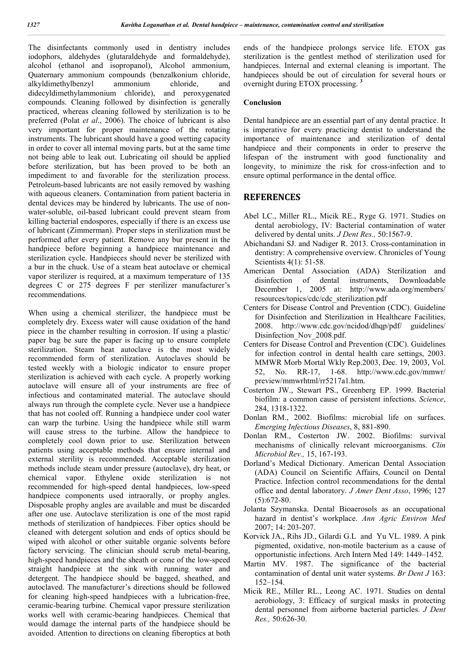The disinfectants commonly used in dentistry includes iodophors, aldehydes (glutaraldehyde and formaldehyde), alcohol (ethanol and isopropanol), Alcohol ammonium, Quaternary ammonium compounds (benzalkonium chloride, alkyldimethylbenzyl ammonium chloride, and didecyldimethylammonium chloride), and peroxygenated compounds. Cleaning followed by disinfection is generally practiced, whereas cleaning followed by sterilization is to be preferred (Polat *et al*., 2006). The choice of lubricant is also very important for proper maintenance of the rotating instruments. The lubricant should have a good wetting capacity in order to cover all internal moving parts, but at the same time not being able to leak out. Lubricating oil should be applied before sterilization, but has been proved to be both an impediment to and favorable for the sterilization process. Petroleum-based lubricants are not easily removed by washing with aqueous cleaners. Contamination from patient bacteria in dental devices may be hindered by lubricants. The use of nonwater-soluble, oil-based lubricant could prevent steam from killing bacterial endospores, especially if there is an excess use of lubricant (Zimmerman). Proper steps in sterilization must be performed after every patient. Remove any bur present in the handpiece before beginning a handpiece maintenance and sterilization cycle. Handpieces should never be sterilized with a bur in the chuck. Use of a steam heat autoclave or chemical vapor sterilizer is required, at a maximum temperature of 135 degrees C or 275 degrees F per sterilizer manufacturer's recommendations.

When using a chemical sterilizer, the handpiece must be completely dry. Excess water will cause oxidation of the hand piece in the chamber resulting in corrosion. If using a plastic/ paper bag be sure the paper is facing up to ensure complete sterilization. Steam heat autoclave is the most widely recommended form of sterilization. Autoclaves should be tested weekly with a biologic indicator to ensure proper sterilization is achieved with each cycle. A properly working autoclave will ensure all of your instruments are free of infectious and contaminated material. The autoclave should always run through the complete cycle. Never use a handpiece that has not cooled off. Running a handpiece under cool water can warp the turbine. Using the handpiece while still warm will cause stress to the turbine. Allow the handpiece to completely cool down prior to use. Sterilization between patients using acceptable methods that ensure internal and external sterility is recommended. Acceptable sterilization methods include steam under pressure (autoclave), dry heat, or chemical vapor. Ethylene oxide sterilization is not recommended for high-speed dental handpieces, low-speed handpiece components used intraorally, or prophy angles. Disposable prophy angles are available and must be discarded after one use. Autoclave sterilization is one of the most rapid methods of sterilization of handpieces. Fiber optics should be cleaned with detergent solution and ends of optics should be wiped with alcohol or other suitable organic solvents before factory servicing. The clinician should scrub metal-bearing, high-speed handpieces and the sheath or cone of the low-speed straight handpiece at the sink with running water and detergent. The handpiece should be bagged, sheathed, and autoclaved. The manufacturer's directions should be followed for cleaning high-speed handpieces with a lubrication-free, ceramic-bearing turbine. Chemical vapor pressure sterilization works well with ceramic-bearing handpieces. Chemical that would damage the internal parts of the handpiece should be avoided. Attention to directions on cleaning fiberoptics at both

ends of the handpiece prolongs service life. ETOX gas sterilization is the gentlest method of sterilization used for handpieces. Internal and external cleaning is important. The handpieces should be out of circulation for several hours or overnight during ETOX processing. **<sup>3</sup>**

#### **Conclusion**

Dental handpiece are an essential part of any dental practice. It is imperative for every practicing dentist to understand the importance of maintenance and sterilization of dental handpiece and their components in order to preserve the lifespan of the instrument with good functionality and longevity, to minimize the risk for cross-infection and to ensure optimal performance in the dental office.

#### **REFERENCES**

- Abel LC., Miller RL., Micik RE., Ryge G. 1971. Studies on dental aerobiology, IV: Bacterial contamination of water delivered by dental units. *J Dent Res.,* 50:1567-9.
- Abichandani SJ. and Nadiger R. 2013. Cross-contamination in dentistry: A comprehensive overview. Chronicles of Young Scientists 4(1): 51-58.
- American Dental Association (ADA) Sterilization and disinfection of dental instruments, Downloadable December 1, 2005 at: http://www.ada.org/members/ resources/topics/cdc/cdc\_sterilization.pdf
- Centers for Disease Control and Prevention (CDC). Guideline for Disinfection and Sterilization in Healthcare Facilities, 2008. http://www.cdc.gov/ncidod/dhqp/pdf/ guidelines/ Disinfection\_Nov\_2008.pdf.
- Centers for Disease Control and Prevention (CDC). Guidelines for infection control in dental health care settings, 2003. MMWR Morb Mortal Wkly Rep.2003, Dec. 19, 2003, Vol. 52, No. RR-17, 1-68. http://www.cdc.gov/mmwr/ preview/mmwrhtml/rr5217a1.htm.
- Costerton JW., Stewart PS., Greenberg EP. 1999. Bacterial biofilm: a common cause of persistent infections. *Science*, 284, 1318-1322.
- Donlan RM., 2002. Biofilms: microbial life on surfaces. *Emerging Infectious Diseases*, 8, 881-890.
- Donlan RM., Costerton JW. 2002. Biofilms: survival mechanisms of clinically relevant microorganisms. *Clin Microbiol Rev.,* 15, 167-193.
- Dorland's Medical Dictionary. American Dental Association (ADA) Council on Scientific Affairs, Council on Dental Practice. Infection control recommendations for the dental office and dental laboratory. *J Amer Dent Asso*, 1996; 127 (5):672-80.
- Jolanta Szymanska. Dental Bioaerosols as an occupational hazard in dentist's workplace. *Ann Agric Environ Med* 2007; 14: 203-207.
- Korvick JA., Rihs JD., Gilardi G.L and Yu VL. 1989. A pink pigmented, oxidative, non-motile bacterium as a cause of opportunistic infections. Arch Intern Med 149: 1449–1452.
- Martin MV. 1987. The significance of the bacterial contamination of dental unit water systems. *Br Dent J* 163: 152–154.
- Micik RE., Miller RL., Leong AC. 1971. Studies on dental aerobiology, 3: Efficacy of surgical masks in protecting dental personnel from airborne bacterial particles. *J Dent Res.,* 50:626-30.